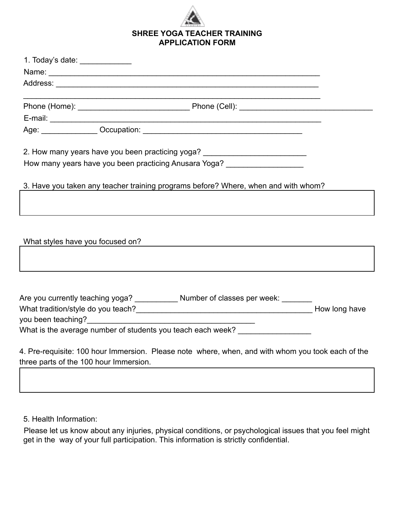

|                                        | Name: Name: Name: Name: Name: Name: Name: Name: Name: Name: Name: Name: Name: Name: Name: Name: Name: Name: Name: Name: Name: Name: Name: Name: Name: Name: Name: Name: Name: Name: Name: Name: Name: Name: Name: Name: Name: |  |
|----------------------------------------|-------------------------------------------------------------------------------------------------------------------------------------------------------------------------------------------------------------------------------|--|
|                                        |                                                                                                                                                                                                                               |  |
|                                        |                                                                                                                                                                                                                               |  |
|                                        |                                                                                                                                                                                                                               |  |
|                                        |                                                                                                                                                                                                                               |  |
|                                        | 2. How many years have you been practicing yoga? _______________________________                                                                                                                                              |  |
|                                        | How many years have you been practicing Anusara Yoga? __________________________                                                                                                                                              |  |
|                                        | 3. Have you taken any teacher training programs before? Where, when and with whom?                                                                                                                                            |  |
|                                        |                                                                                                                                                                                                                               |  |
|                                        |                                                                                                                                                                                                                               |  |
|                                        | What styles have you focused on? The state of the state of the state of the state of the state of the state of                                                                                                                |  |
|                                        |                                                                                                                                                                                                                               |  |
|                                        |                                                                                                                                                                                                                               |  |
|                                        | Are you currently teaching yoga? ____________ Number of classes per week: _______                                                                                                                                             |  |
|                                        |                                                                                                                                                                                                                               |  |
|                                        |                                                                                                                                                                                                                               |  |
|                                        | What is the average number of students you teach each week? ____________________                                                                                                                                              |  |
|                                        | 4. Pre-requisite: 100 hour Immersion. Please note where, when, and with whom you took each of the                                                                                                                             |  |
| three parts of the 100 hour Immersion. |                                                                                                                                                                                                                               |  |
|                                        |                                                                                                                                                                                                                               |  |

5. Health Information:

Please let us know about any injuries, physical conditions, or psychological issues that you feel might get in the way of your full participation. This information is strictly confidential.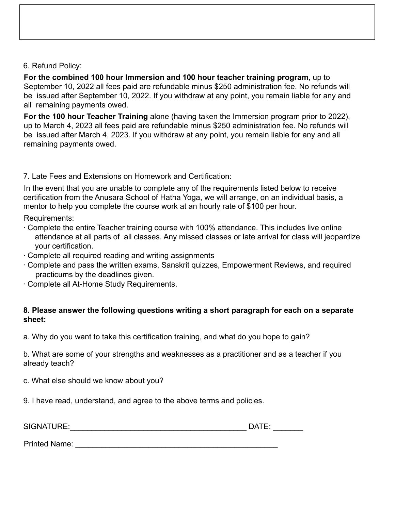## 6. Refund Policy:

**For the combined 100 hour Immersion and 100 hour teacher training program**, up to September 10, 2022 all fees paid are refundable minus \$250 administration fee. No refunds will be issued after September 10, 2022. If you withdraw at any point, you remain liable for any and all remaining payments owed.

**For the 100 hour Teacher Training** alone (having taken the Immersion program prior to 2022), up to March 4, 2023 all fees paid are refundable minus \$250 administration fee. No refunds will be issued after March 4, 2023. If you withdraw at any point, you remain liable for any and all remaining payments owed.

## 7. Late Fees and Extensions on Homework and Certification:

In the event that you are unable to complete any of the requirements listed below to receive certification from the Anusara School of Hatha Yoga, we will arrange, on an individual basis, a mentor to help you complete the course work at an hourly rate of \$100 per hour.

Requirements:

- ∙ Complete the entire Teacher training course with 100% attendance. This includes live online attendance at all parts of all classes. Any missed classes or late arrival for class will jeopardize your certification.
- ∙ Complete all required reading and writing assignments
- ∙ Complete and pass the written exams, Sanskrit quizzes, Empowerment Reviews, and required practicums by the deadlines given.
- ∙ Complete all At-Home Study Requirements.

## **8. Please answer the following questions writing a short paragraph for each on a separate sheet:**

a. Why do you want to take this certification training, and what do you hope to gain?

b. What are some of your strengths and weaknesses as a practitioner and as a teacher if you already teach?

c. What else should we know about you?

9. I have read, understand, and agree to the above terms and policies.

SIGNATURE:\_\_\_\_\_\_\_\_\_\_\_\_\_\_\_\_\_\_\_\_\_\_\_\_\_\_\_\_\_\_\_\_\_\_\_\_\_\_\_\_\_ DATE: \_\_\_\_\_\_\_

| Е<br>ı   |  |
|----------|--|
| `<br>. . |  |

Printed Name: \_\_\_\_\_\_\_\_\_\_\_\_\_\_\_\_\_\_\_\_\_\_\_\_\_\_\_\_\_\_\_\_\_\_\_\_\_\_\_\_\_\_\_\_\_\_\_